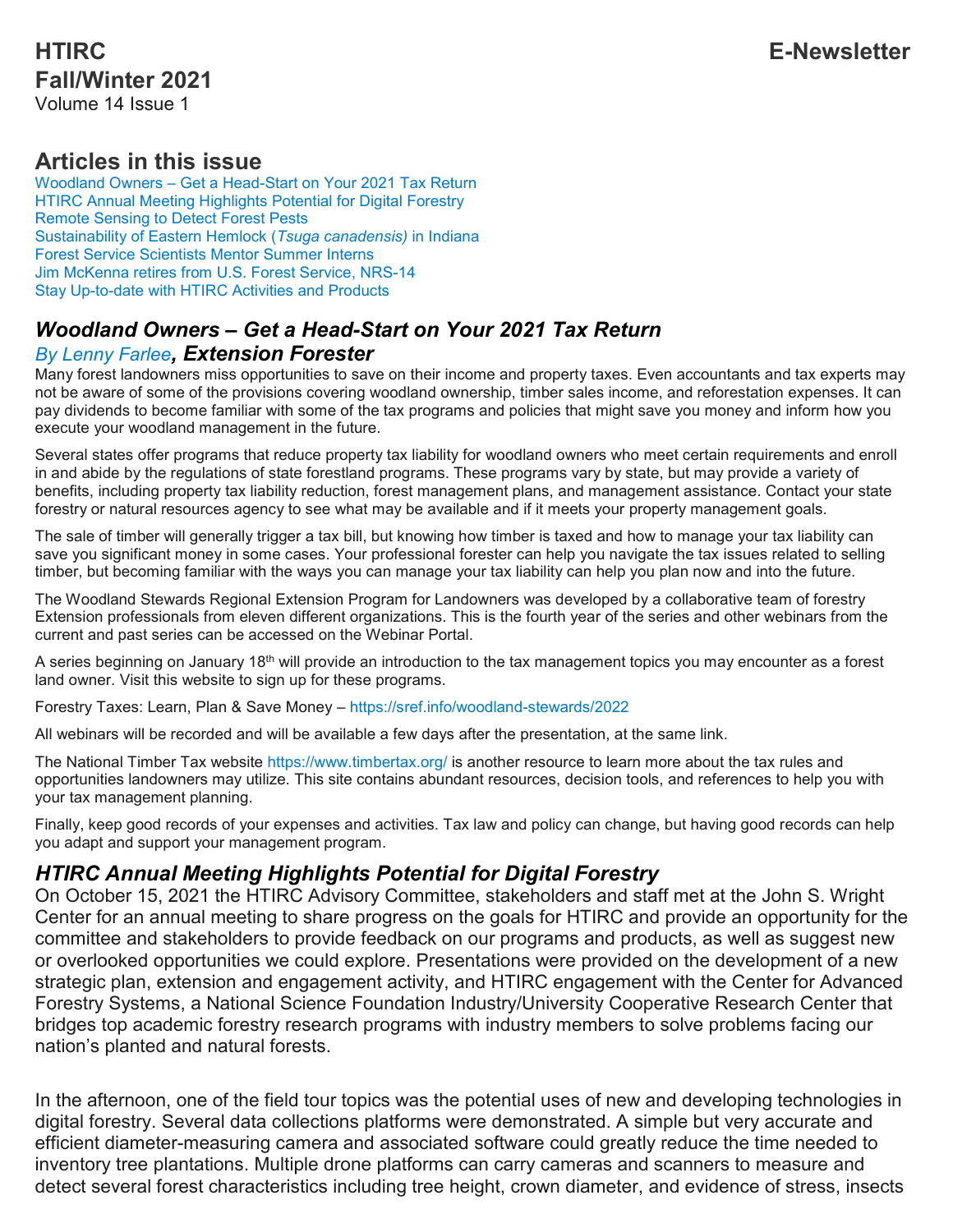## **HTIRC E-Newsletter Fall/Winter 2021** Volume 14 Issue 1

# **Articles in this issue**

Woodland Owners – Get a [Head-Start](https://htirc.org/fall-winter-2021#Woodland) on Your 2021 Tax Return HTIRC Annual Meeting [Highlights](https://htirc.org/fall-winter-2021#HTIRC) Potential for Digital Forestry Remote [Sensing](https://htirc.org/fall-winter-2021#Remote) to Detect Forest Pests [Sustainability](https://htirc.org/fall-winter-2021#Sustainability) of Eastern Hemlock (*Tsuga canadensis)* in Indiana Forest Service [Scientists](https://htirc.org/fall-winter-2021#Forest) Mentor Summer Interns Jim [McKenna](https://htirc.org/fall-winter-2021#Jim) retires from U.S. Forest Service, NRS-14 Stay [Up-to-date](https://htirc.org/fall-winter-2021#Stay) with HTIRC Activities and Products

## *Woodland Owners – Get a Head-Start on Your 2021 Tax Return By Lenny [Farlee](https://htirc.org/staff-directory/), Extension Forester*

Many forest landowners miss opportunities to save on their income and property taxes. Even accountants and tax experts may not be aware of some of the provisions covering woodland ownership, timber sales income, and reforestation expenses. It can pay dividends to become familiar with some of the tax programs and policies that might save you money and inform how you execute your woodland management in the future.

Several states offer programs that reduce property tax liability for woodland owners who meet certain requirements and enroll in and abide by the regulations of state forestland programs. These programs vary by state, but may provide a variety of benefits, including property tax liability reduction, forest management plans, and management assistance. Contact your state forestry or natural resources agency to see what may be available and if it meets your property management goals.

The sale of timber will generally trigger a tax bill, but knowing how timber is taxed and how to manage your tax liability can save you significant money in some cases. Your professional forester can help you navigate the tax issues related to selling timber, but becoming familiar with the ways you can manage your tax liability can help you plan now and into the future.

The Woodland Stewards Regional Extension Program for Landowners was developed by a collaborative team of forestry Extension professionals from eleven different organizations. This is the fourth year of the series and other webinars from the current and past series can be accessed on the Webinar Portal.

A series beginning on January 18<sup>th</sup> will provide an introduction to the tax management topics you may encounter as a forest land owner. Visit this website to sign up for these programs.

Forestry Taxes: Learn, Plan & Save Money – <https://sref.info/woodland-stewards/2022>

All webinars will be recorded and will be available a few days after the presentation, at the same link.

The National Timber Tax website <https://www.timbertax.org/> is another resource to learn more about the tax rules and opportunities landowners may utilize. This site contains abundant resources, decision tools, and references to help you with your tax management planning.

Finally, keep good records of your expenses and activities. Tax law and policy can change, but having good records can help you adapt and support your management program.

### *HTIRC Annual Meeting Highlights Potential for Digital Forestry*

On October 15, 2021 the HTIRC Advisory Committee, stakeholders and staff met at the John S. Wright Center for an annual meeting to share progress on the goals for HTIRC and provide an opportunity for the committee and stakeholders to provide feedback on our programs and products, as well as suggest new or overlooked opportunities we could explore. Presentations were provided on the development of a new strategic plan, extension and engagement activity, and HTIRC engagement with the Center for Advanced Forestry Systems, a National Science Foundation Industry/University Cooperative Research Center that bridges top academic forestry research programs with industry members to solve problems facing our nation's planted and natural forests.

In the afternoon, one of the field tour topics was the potential uses of new and developing technologies in digital forestry. Several data collections platforms were demonstrated. A simple but very accurate and efficient diameter-measuring camera and associated software could greatly reduce the time needed to inventory tree plantations. Multiple drone platforms can carry cameras and scanners to measure and detect several forest characteristics including tree height, crown diameter, and evidence of stress, insects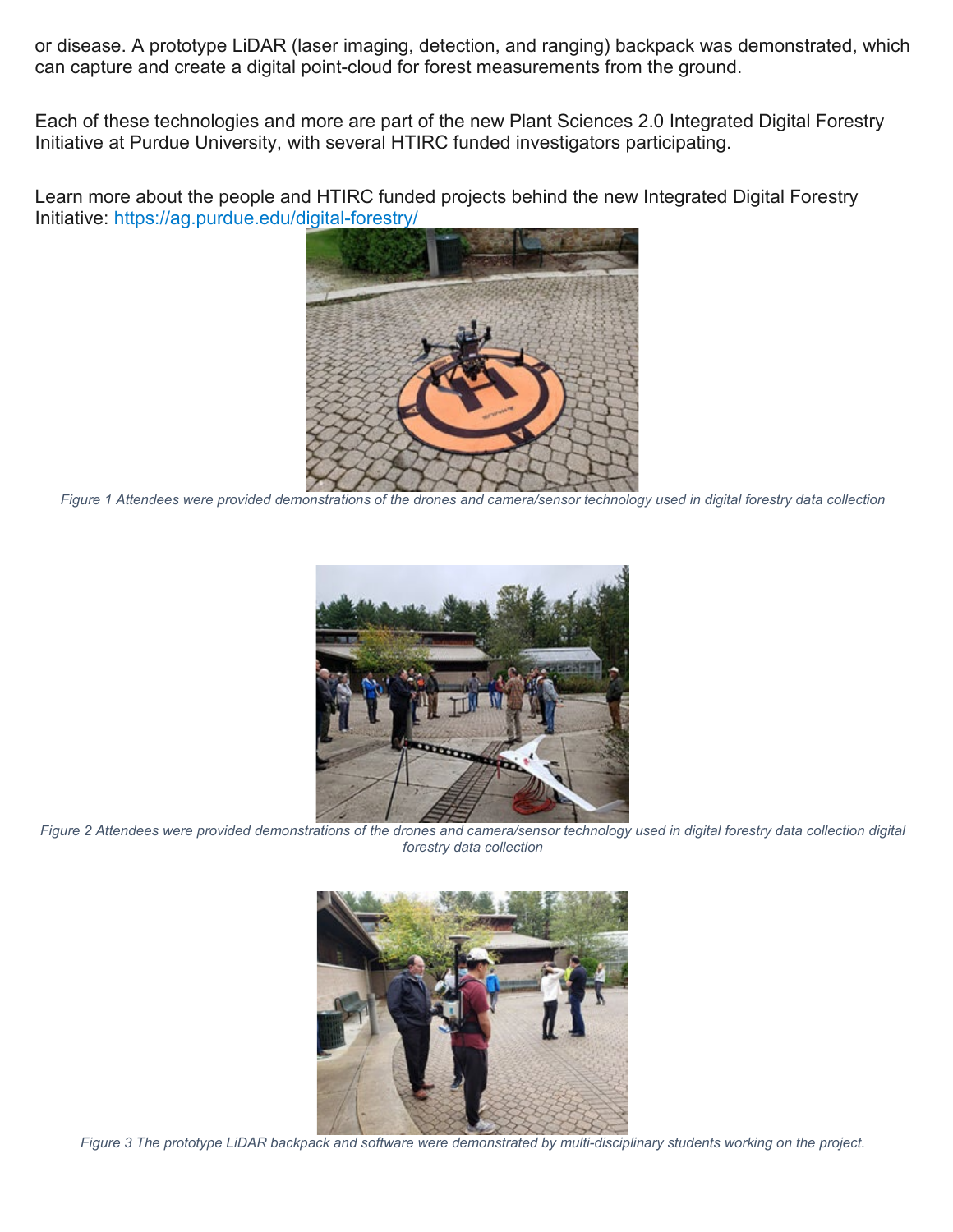or disease. A prototype LiDAR (laser imaging, detection, and ranging) backpack was demonstrated, which can capture and create a digital point-cloud for forest measurements from the ground.

Each of these technologies and more are part of the new Plant Sciences 2.0 Integrated Digital Forestry Initiative at Purdue University, with several HTIRC funded investigators participating.

Learn more about the people and HTIRC funded projects behind the new Integrated Digital Forestry Initiative: <https://ag.purdue.edu/digital-forestry/>



*Figure 1 Attendees were provided demonstrations of the drones and camera/sensor technology used in digital forestry data collection*



*Figure 2 Attendees were provided demonstrations of the drones and camera/sensor technology used in digital forestry data collection digital forestry data collection*



*Figure 3 The prototype LiDAR backpack and software were demonstrated by multi-disciplinary students working on the project.*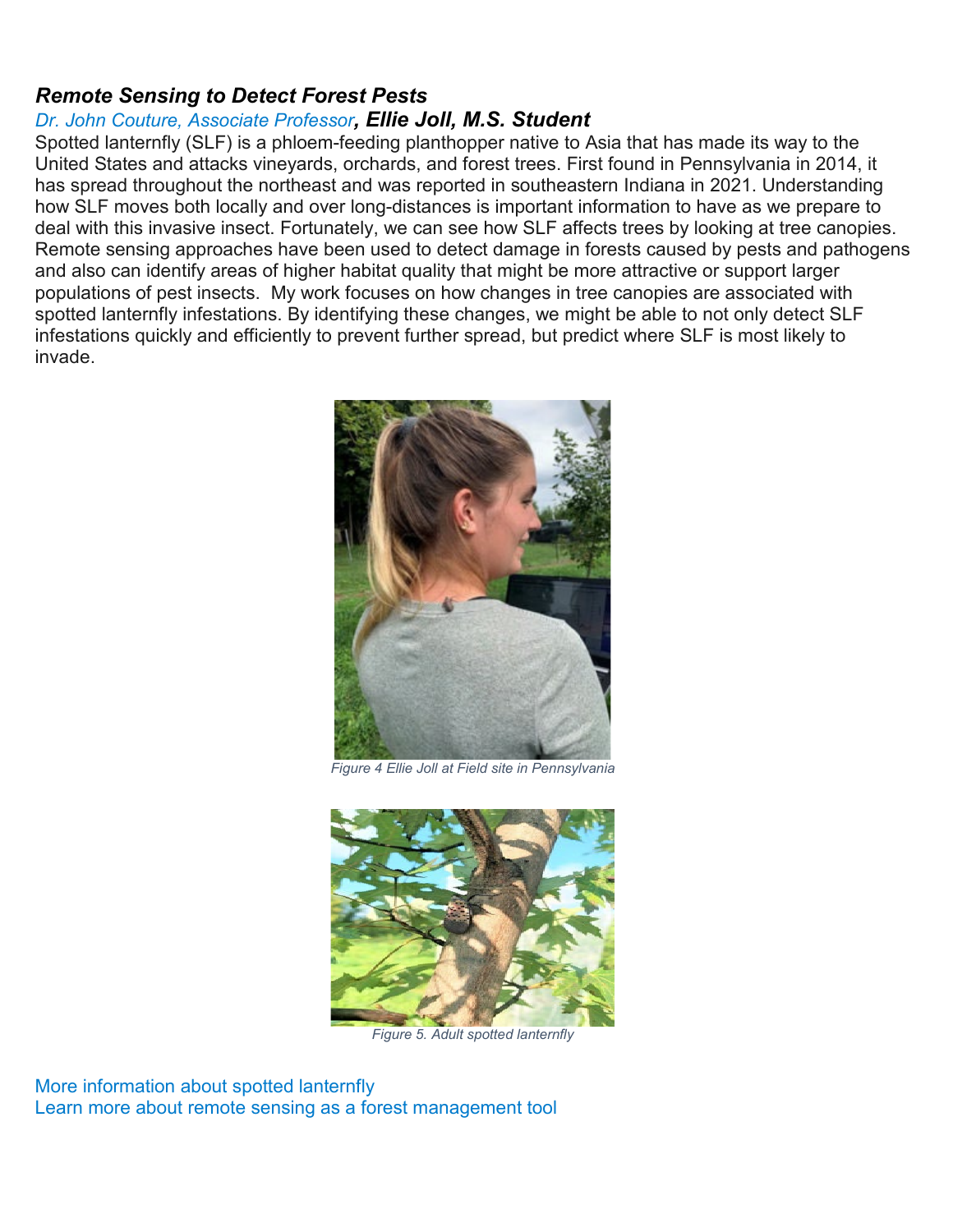## *Remote Sensing to Detect Forest Pests*

### *Dr. John Couture, [Associate](https://htirc.org/research-scientists-directory/) Professor, Ellie Joll, M.S. Student*

Spotted lanternfly (SLF) is a phloem-feeding planthopper native to Asia that has made its way to the United States and attacks vineyards, orchards, and forest trees. First found in Pennsylvania in 2014, it has spread throughout the northeast and was reported in southeastern Indiana in 2021. Understanding how SLF moves both locally and over long-distances is important information to have as we prepare to deal with this invasive insect. Fortunately, we can see how SLF affects trees by looking at tree canopies. Remote sensing approaches have been used to detect damage in forests caused by pests and pathogens and also can identify areas of higher habitat quality that might be more attractive or support larger populations of pest insects. My work focuses on how changes in tree canopies are associated with spotted lanternfly infestations. By identifying these changes, we might be able to not only detect SLF infestations quickly and efficiently to prevent further spread, but predict where SLF is most likely to invade.



*Figure 4 Ellie Joll at Field site in Pennsylvania*



*Figure 5. Adult spotted lanternfly*

More [information](https://www.aphis.usda.gov/aphis/resources/pests-diseases/hungry-pests/the-threat/spotted-lanternfly/spotted-lanternfly) about spotted lanternfly Learn more about remote sensing as a forest [management](https://ag.purdue.edu/digital-forestry/) tool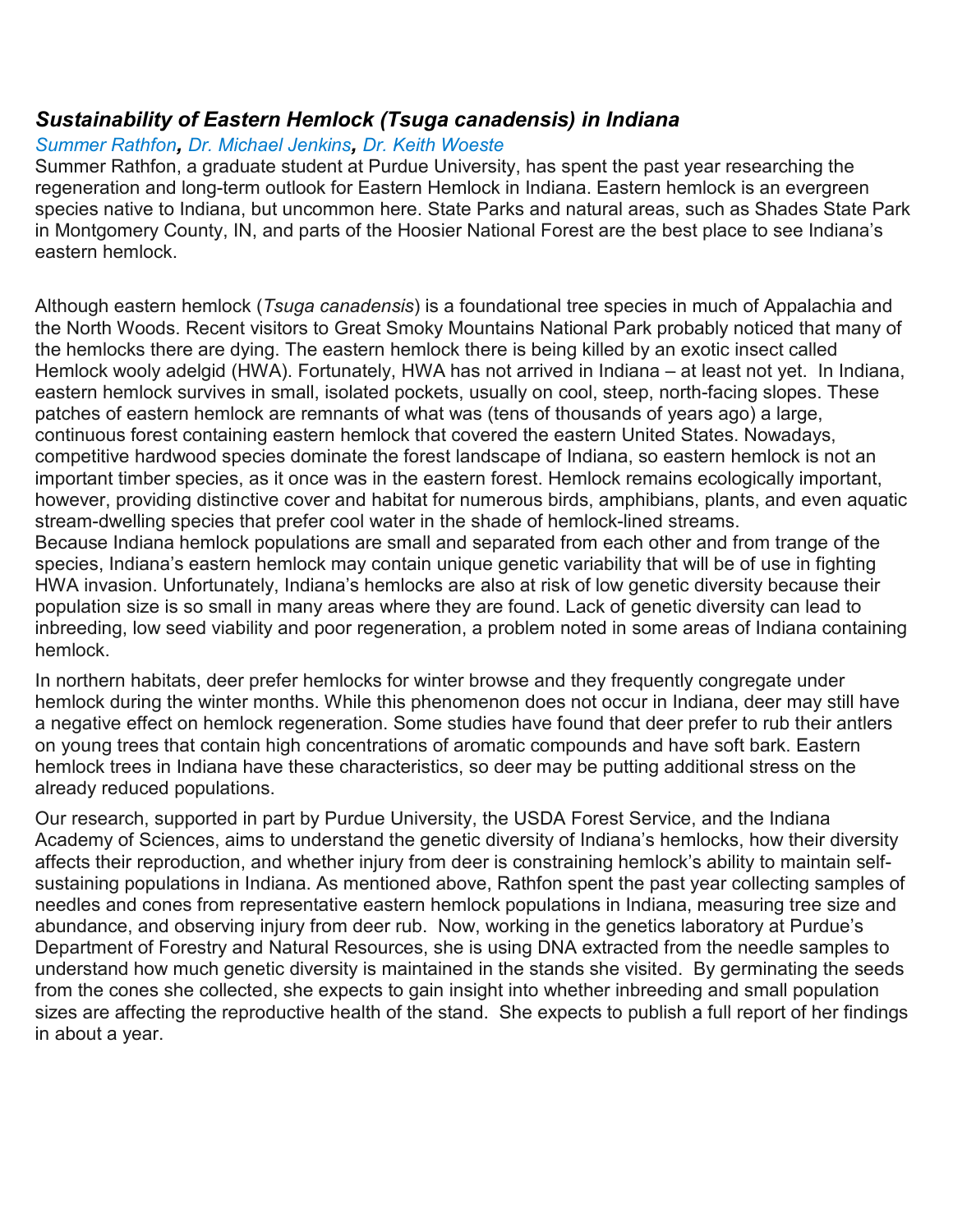## *Sustainability of Eastern Hemlock (Tsuga canadensis) in Indiana*

#### *[Summer](https://htirc.org/student-directory/) Rathfon, Dr. [Michael](https://htirc.org/research-scientists-directory/) Jenkins, Dr. Keith [Woeste](https://htirc.org/research-scientists-directory/)*

Summer Rathfon, a graduate student at Purdue University, has spent the past year researching the regeneration and long-term outlook for Eastern Hemlock in Indiana. Eastern hemlock is an evergreen species native to Indiana, but uncommon here. State Parks and natural areas, such as Shades State Park in Montgomery County, IN, and parts of the Hoosier National Forest are the best place to see Indiana's eastern hemlock.

Although eastern hemlock (*Tsuga canadensis*) is a foundational tree species in much of Appalachia and the North Woods. Recent visitors to Great Smoky Mountains National Park probably noticed that many of the hemlocks there are dying. The eastern hemlock there is being killed by an exotic insect called Hemlock wooly adelgid (HWA). Fortunately, HWA has not arrived in Indiana – at least not yet. In Indiana, eastern hemlock survives in small, isolated pockets, usually on cool, steep, north-facing slopes. These patches of eastern hemlock are remnants of what was (tens of thousands of years ago) a large, continuous forest containing eastern hemlock that covered the eastern United States. Nowadays, competitive hardwood species dominate the forest landscape of Indiana, so eastern hemlock is not an important timber species, as it once was in the eastern forest. Hemlock remains ecologically important, however, providing distinctive cover and habitat for numerous birds, amphibians, plants, and even aquatic stream-dwelling species that prefer cool water in the shade of hemlock-lined streams. Because Indiana hemlock populations are small and separated from each other and from trange of the species, Indiana's eastern hemlock may contain unique genetic variability that will be of use in fighting HWA invasion. Unfortunately, Indiana's hemlocks are also at risk of low genetic diversity because their population size is so small in many areas where they are found. Lack of genetic diversity can lead to inbreeding, low seed viability and poor regeneration, a problem noted in some areas of Indiana containing hemlock.

In northern habitats, deer prefer hemlocks for winter browse and they frequently congregate under hemlock during the winter months. While this phenomenon does not occur in Indiana, deer may still have a negative effect on hemlock regeneration. Some studies have found that deer prefer to rub their antlers on young trees that contain high concentrations of aromatic compounds and have soft bark. Eastern hemlock trees in Indiana have these characteristics, so deer may be putting additional stress on the already reduced populations.

Our research, supported in part by Purdue University, the USDA Forest Service, and the Indiana Academy of Sciences, aims to understand the genetic diversity of Indiana's hemlocks, how their diversity affects their reproduction, and whether injury from deer is constraining hemlock's ability to maintain selfsustaining populations in Indiana. As mentioned above, Rathfon spent the past year collecting samples of needles and cones from representative eastern hemlock populations in Indiana, measuring tree size and abundance, and observing injury from deer rub. Now, working in the genetics laboratory at Purdue's Department of Forestry and Natural Resources, she is using DNA extracted from the needle samples to understand how much genetic diversity is maintained in the stands she visited. By germinating the seeds from the cones she collected, she expects to gain insight into whether inbreeding and small population sizes are affecting the reproductive health of the stand. She expects to publish a full report of her findings in about a year.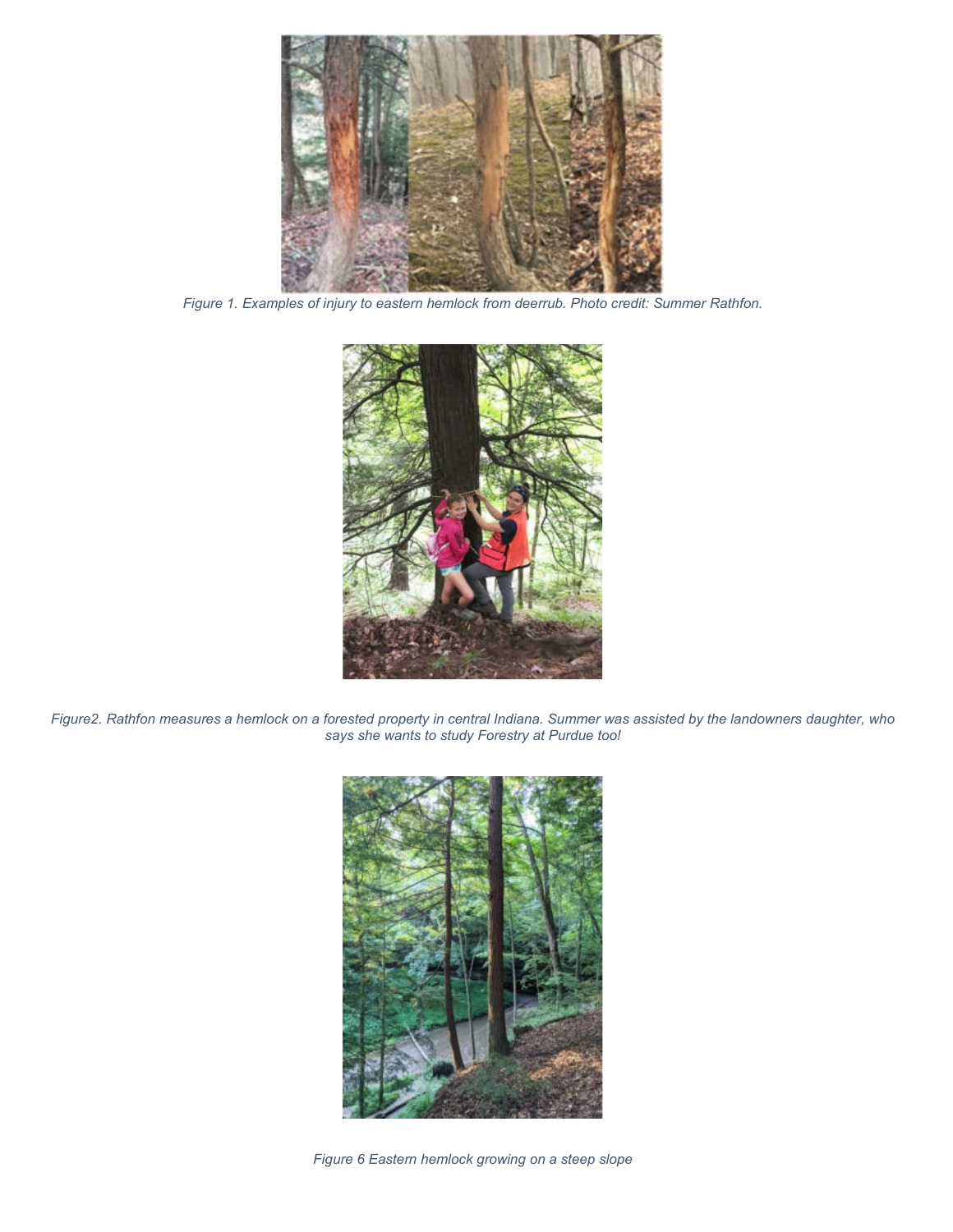

*Figure 1. Examples of injury to eastern hemlock from deerrub. Photo credit: Summer Rathfon.*



*Figure2. Rathfon measures a hemlock on a forested property in central Indiana. Summer was assisted by the landowners daughter, who says she wants to study Forestry at Purdue too!*



*Figure 6 Eastern hemlock growing on a steep slope*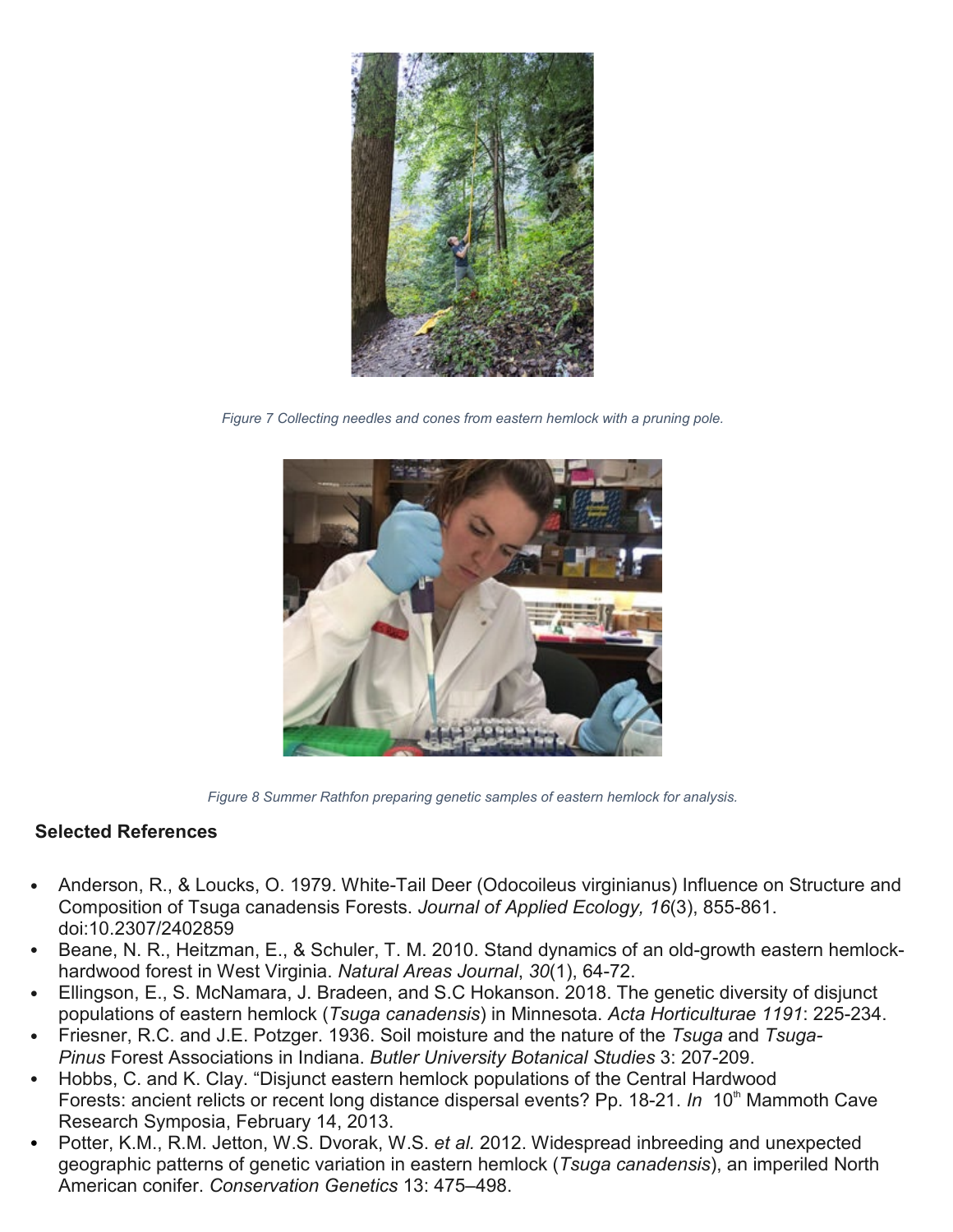

*Figure 7 Collecting needles and cones from eastern hemlock with a pruning pole.*



*Figure 8 Summer Rathfon preparing genetic samples of eastern hemlock for analysis.*

#### **Selected References**

- Anderson, R., & Loucks, O. 1979. White-Tail Deer (Odocoileus virginianus) Influence on Structure and Composition of Tsuga canadensis Forests. *Journal of Applied Ecology, 16*(3), 855-861. doi:10.2307/2402859
- Beane, N. R., Heitzman, E., & Schuler, T. M. 2010. Stand dynamics of an old-growth eastern hemlockhardwood forest in West Virginia. *Natural Areas Journal*, *30*(1), 64-72.
- Ellingson, E., S. McNamara, J. Bradeen, and S.C Hokanson. 2018. The genetic diversity of disjunct populations of eastern hemlock (*Tsuga canadensis*) in Minnesota. *Acta Horticulturae 1191*: 225-234.
- Friesner, R.C. and J.E. Potzger. 1936. Soil moisture and the nature of the *Tsuga* and *Tsuga-Pinus* Forest Associations in Indiana. *Butler University Botanical Studies* 3: 207-209.
- Hobbs, C. and K. Clay. "Disjunct eastern hemlock populations of the Central Hardwood Forests: ancient relicts or recent long distance dispersal events? Pp. 18-21. *In* 10<sup>th</sup> Mammoth Cave Research Symposia, February 14, 2013.
- Potter, K.M., R.M. Jetton, W.S. Dvorak, W.S. *et al.* 2012. Widespread inbreeding and unexpected geographic patterns of genetic variation in eastern hemlock (*Tsuga canadensis*), an imperiled North American conifer. *Conservation Genetics* 13: 475–498.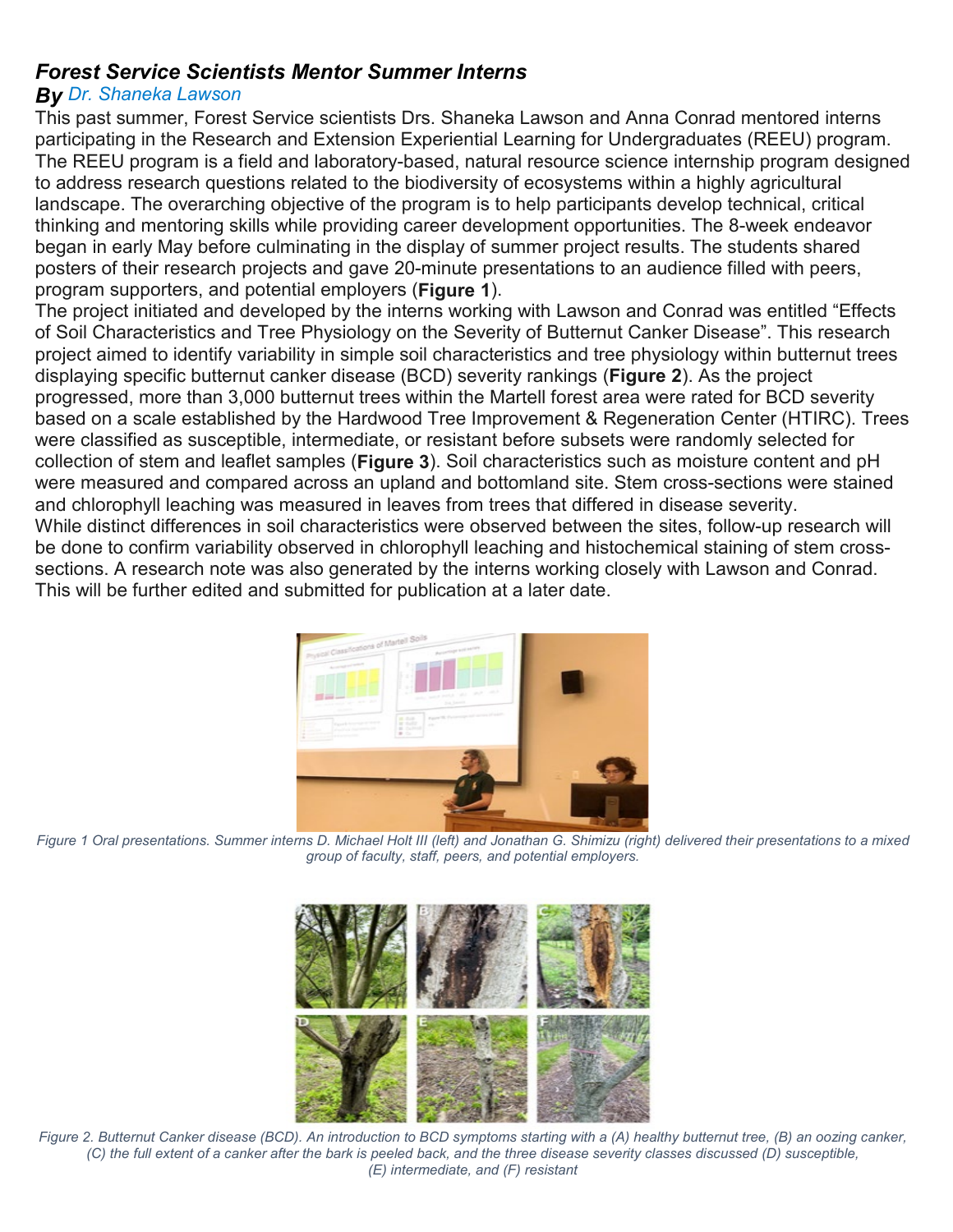### *Forest Service Scientists Mentor Summer Interns*

#### *By Dr. [Shaneka](https://htirc.org/research-scientists-directory/) Lawson*

This past summer, Forest Service scientists Drs. Shaneka Lawson and Anna Conrad mentored interns participating in the Research and Extension Experiential Learning for Undergraduates (REEU) program. The REEU program is a field and laboratory-based, natural resource science internship program designed to address research questions related to the biodiversity of ecosystems within a highly agricultural landscape. The overarching objective of the program is to help participants develop technical, critical thinking and mentoring skills while providing career development opportunities. The 8-week endeavor began in early May before culminating in the display of summer project results. The students shared posters of their research projects and gave 20-minute presentations to an audience filled with peers, program supporters, and potential employers (**Figure 1**).

The project initiated and developed by the interns working with Lawson and Conrad was entitled "Effects of Soil Characteristics and Tree Physiology on the Severity of Butternut Canker Disease". This research project aimed to identify variability in simple soil characteristics and tree physiology within butternut trees displaying specific butternut canker disease (BCD) severity rankings (**Figure 2**). As the project progressed, more than 3,000 butternut trees within the Martell forest area were rated for BCD severity based on a scale established by the Hardwood Tree Improvement & Regeneration Center (HTIRC). Trees were classified as susceptible, intermediate, or resistant before subsets were randomly selected for collection of stem and leaflet samples (**Figure 3**). Soil characteristics such as moisture content and pH were measured and compared across an upland and bottomland site. Stem cross-sections were stained and chlorophyll leaching was measured in leaves from trees that differed in disease severity. While distinct differences in soil characteristics were observed between the sites, follow-up research will be done to confirm variability observed in chlorophyll leaching and histochemical staining of stem crosssections. A research note was also generated by the interns working closely with Lawson and Conrad. This will be further edited and submitted for publication at a later date.



*Figure 1 Oral presentations. Summer interns D. Michael Holt III (left) and Jonathan G. Shimizu (right) delivered their presentations to a mixed group of faculty, staff, peers, and potential employers.*



*Figure 2. Butternut Canker disease (BCD). An introduction to BCD symptoms starting with a (A) healthy butternut tree, (B) an oozing canker, (C) the full extent of a canker after the bark is peeled back, and the three disease severity classes discussed (D) susceptible, (E) intermediate, and (F) resistant*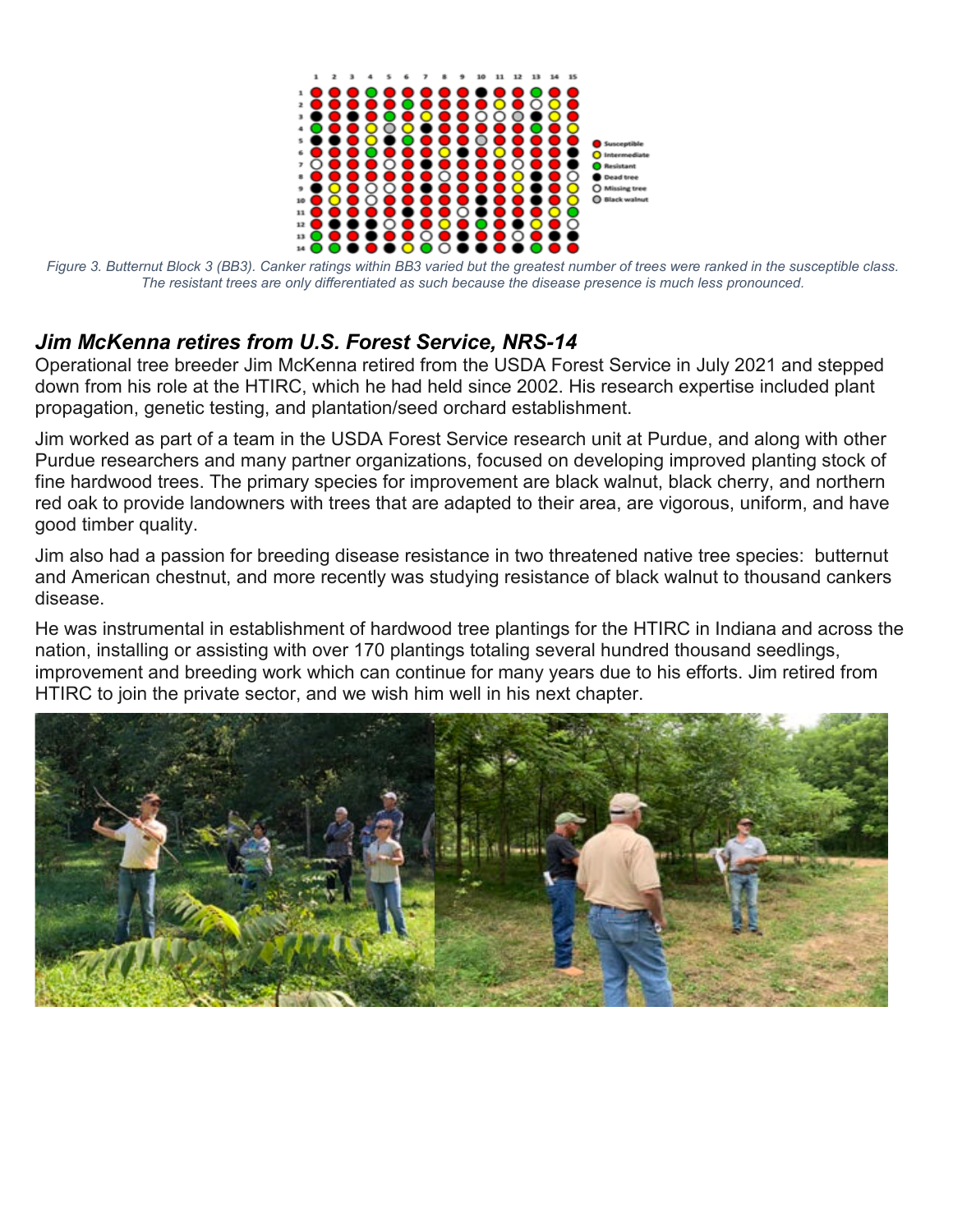

*Figure 3. Butternut Block 3 (BB3). Canker ratings within BB3 varied but the greatest number of trees were ranked in the susceptible class. The resistant trees are only differentiated as such because the disease presence is much less pronounced.*

## *Jim McKenna retires from U.S. Forest Service, NRS-14*

Operational tree breeder Jim McKenna retired from the USDA Forest Service in July 2021 and stepped down from his role at the HTIRC, which he had held since 2002. His research expertise included plant propagation, genetic testing, and plantation/seed orchard establishment.

Jim worked as part of a team in the USDA Forest Service research unit at Purdue, and along with other Purdue researchers and many partner organizations, focused on developing improved planting stock of fine hardwood trees. The primary species for improvement are black walnut, black cherry, and northern red oak to provide landowners with trees that are adapted to their area, are vigorous, uniform, and have good timber quality.

Jim also had a passion for breeding disease resistance in two threatened native tree species: butternut and American chestnut, and more recently was studying resistance of black walnut to thousand cankers disease.

He was instrumental in establishment of hardwood tree plantings for the HTIRC in Indiana and across the nation, installing or assisting with over 170 plantings totaling several hundred thousand seedlings, improvement and breeding work which can continue for many years due to his efforts. Jim retired from HTIRC to join the private sector, and we wish him well in his next chapter.